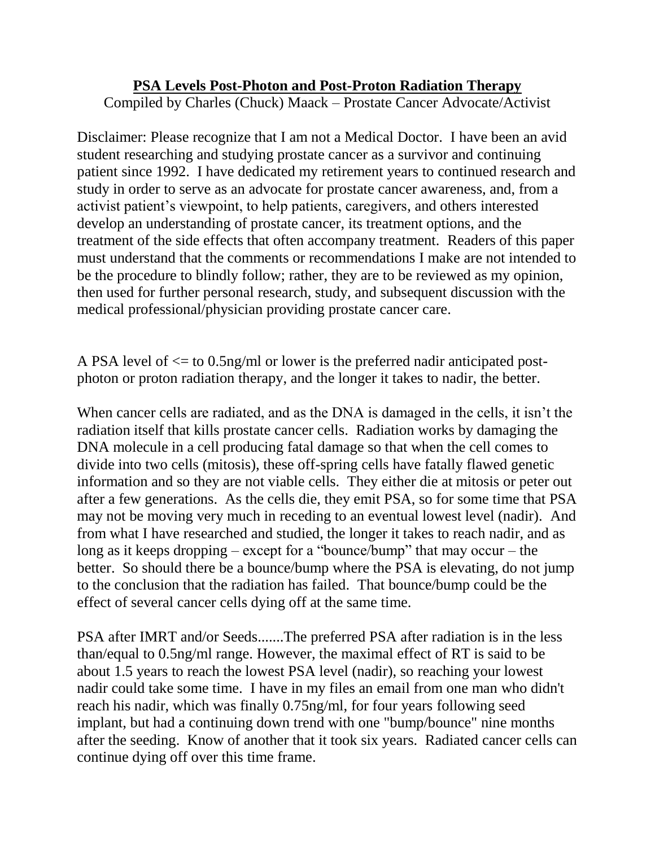## **PSA Levels Post-Photon and Post-Proton Radiation Therapy**

Compiled by Charles (Chuck) Maack – Prostate Cancer Advocate/Activist

Disclaimer: Please recognize that I am not a Medical Doctor. I have been an avid student researching and studying prostate cancer as a survivor and continuing patient since 1992. I have dedicated my retirement years to continued research and study in order to serve as an advocate for prostate cancer awareness, and, from a activist patient's viewpoint, to help patients, caregivers, and others interested develop an understanding of prostate cancer, its treatment options, and the treatment of the side effects that often accompany treatment. Readers of this paper must understand that the comments or recommendations I make are not intended to be the procedure to blindly follow; rather, they are to be reviewed as my opinion, then used for further personal research, study, and subsequent discussion with the medical professional/physician providing prostate cancer care.

A PSA level of  $\leq$  to 0.5ng/ml or lower is the preferred nadir anticipated postphoton or proton radiation therapy, and the longer it takes to nadir, the better.

When cancer cells are radiated, and as the DNA is damaged in the cells, it isn't the radiation itself that kills prostate cancer cells. Radiation works by damaging the DNA molecule in a cell producing fatal damage so that when the cell comes to divide into two cells (mitosis), these off-spring cells have fatally flawed genetic information and so they are not viable cells. They either die at mitosis or peter out after a few generations. As the cells die, they emit PSA, so for some time that PSA may not be moving very much in receding to an eventual lowest level (nadir). And from what I have researched and studied, the longer it takes to reach nadir, and as long as it keeps dropping – except for a "bounce/bump" that may occur – the better. So should there be a bounce/bump where the PSA is elevating, do not jump to the conclusion that the radiation has failed. That bounce/bump could be the effect of several cancer cells dying off at the same time.

PSA after IMRT and/or Seeds.......The preferred PSA after radiation is in the less than/equal to 0.5ng/ml range. However, the maximal effect of RT is said to be about 1.5 years to reach the lowest PSA level (nadir), so reaching your lowest nadir could take some time. I have in my files an email from one man who didn't reach his nadir, which was finally 0.75ng/ml, for four years following seed implant, but had a continuing down trend with one "bump/bounce" nine months after the seeding. Know of another that it took six years. Radiated cancer cells can continue dying off over this time frame.